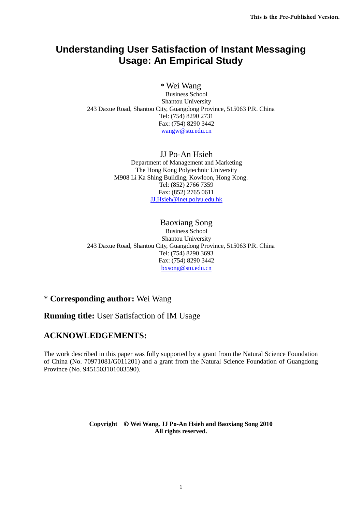# **Understanding User Satisfaction of Instant Messaging Usage: An Empirical Study**

## \* Wei Wang

Business School Shantou University 243 Daxue Road, Shantou City, Guangdong Province, 515063 P.R. China Tel: (754) 8290 2731 Fax: (754) 8290 3442 [wangw@stu.edu.cn](mailto:wangw@stu.edu.cn)

> JJ Po-An Hsieh Department of Management and Marketing The Hong Kong Polytechnic University M908 Li Ka Shing Building, Kowloon, Hong Kong. Tel: (852) 2766 7359 Fax: (852) 2765 0611 [JJ.Hsieh@inet.polyu.edu.hk](mailto:JJ.Hsieh@inet.polyu.edu.hk)

## Baoxiang Song

Business School Shantou University 243 Daxue Road, Shantou City, Guangdong Province, 515063 P.R. China Tel: (754) 8290 3693 Fax: (754) 8290 3442 [bxsong@stu.edu.cn](mailto:bxsong@stu.edu.cn)

# \* **Corresponding author:** Wei Wang

# **Running title:** User Satisfaction of IM Usage

# **ACKNOWLEDGEMENTS:**

The work described in this paper was fully supported by a grant from the Natural Science Foundation of China (No. 70971081/G011201) and a grant from the Natural Science Foundation of Guangdong Province (No. 9451503101003590).

#### **Copyright Wei Wang, JJ Po-An Hsieh and Baoxiang Song 2010 All rights reserved.**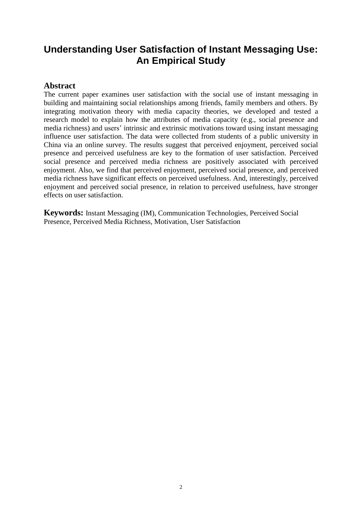# **Understanding User Satisfaction of Instant Messaging Use: An Empirical Study**

## **Abstract**

The current paper examines user satisfaction with the social use of instant messaging in building and maintaining social relationships among friends, family members and others. By integrating motivation theory with media capacity theories, we developed and tested a research model to explain how the attributes of media capacity (e.g., social presence and media richness) and users' intrinsic and extrinsic motivations toward using instant messaging influence user satisfaction. The data were collected from students of a public university in China via an online survey. The results suggest that perceived enjoyment, perceived social presence and perceived usefulness are key to the formation of user satisfaction. Perceived social presence and perceived media richness are positively associated with perceived enjoyment. Also, we find that perceived enjoyment, perceived social presence, and perceived media richness have significant effects on perceived usefulness. And, interestingly, perceived enjoyment and perceived social presence, in relation to perceived usefulness, have stronger effects on user satisfaction.

**Keywords:** Instant Messaging (IM), Communication Technologies, Perceived Social Presence, Perceived Media Richness, Motivation, User Satisfaction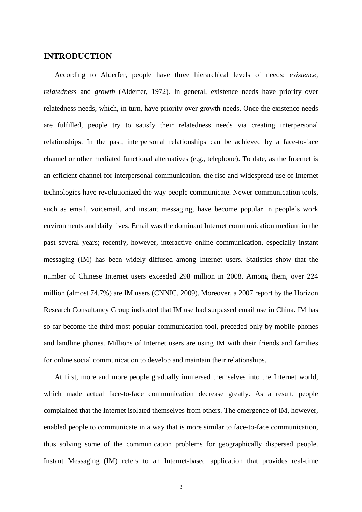### **INTRODUCTION**

According to Alderfer, people have three hierarchical levels of needs: *existence*, *relatedness* and *growth* (Alderfer, 1972)*.* In general, existence needs have priority over relatedness needs, which, in turn, have priority over growth needs. Once the existence needs are fulfilled, people try to satisfy their relatedness needs via creating interpersonal relationships. In the past, interpersonal relationships can be achieved by a face-to-face channel or other mediated functional alternatives (e.g., telephone). To date, as the Internet is an efficient channel for interpersonal communication, the rise and widespread use of Internet technologies have revolutionized the way people communicate. Newer communication tools, such as email, voicemail, and instant messaging, have become popular in people's work environments and daily lives. Email was the dominant Internet communication medium in the past several years; recently, however, interactive online communication, especially instant messaging (IM) has been widely diffused among Internet users. Statistics show that the number of Chinese Internet users exceeded 298 million in 2008. Among them, over 224 million (almost 74.7%) are IM users (CNNIC, 2009). Moreover, a 2007 report by the Horizon Research Consultancy Group indicated that IM use had surpassed email use in China. IM has so far become the third most popular communication tool, preceded only by mobile phones and landline phones. Millions of Internet users are using IM with their friends and families for online social communication to develop and maintain their relationships.

At first, more and more people gradually immersed themselves into the Internet world, which made actual face-to-face communication decrease greatly. As a result, people complained that the Internet isolated themselves from others. The emergence of IM, however, enabled people to communicate in a way that is more similar to face-to-face communication, thus solving some of the communication problems for geographically dispersed people. Instant Messaging (IM) refers to an Internet-based application that provides real-time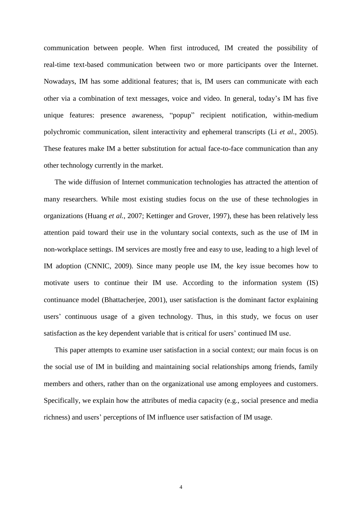communication between people. When first introduced, IM created the possibility of real-time text-based communication between two or more participants over the Internet. Nowadays, IM has some additional features; that is, IM users can communicate with each other via a combination of text messages, voice and video. In general, today's IM has five unique features: presence awareness, "popup" recipient notification, within-medium polychromic communication, silent interactivity and ephemeral transcripts (Li *et al.*, 2005). These features make IM a better substitution for actual face-to-face communication than any other technology currently in the market.

The wide diffusion of Internet communication technologies has attracted the attention of many researchers. While most existing studies focus on the use of these technologies in organizations (Huang *et al.*, 2007; Kettinger and Grover, 1997), these has been relatively less attention paid toward their use in the voluntary social contexts, such as the use of IM in non-workplace settings. IM services are mostly free and easy to use, leading to a high level of IM adoption (CNNIC, 2009). Since many people use IM, the key issue becomes how to motivate users to continue their IM use. According to the information system (IS) continuance model (Bhattacherjee, 2001), user satisfaction is the dominant factor explaining users' continuous usage of a given technology. Thus, in this study, we focus on user satisfaction as the key dependent variable that is critical for users' continued IM use.

This paper attempts to examine user satisfaction in a social context; our main focus is on the social use of IM in building and maintaining social relationships among friends, family members and others, rather than on the organizational use among employees and customers. Specifically, we explain how the attributes of media capacity (e.g., social presence and media richness) and users' perceptions of IM influence user satisfaction of IM usage.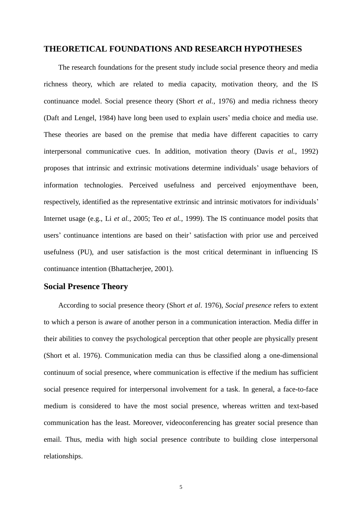## **THEORETICAL FOUNDATIONS AND RESEARCH HYPOTHESES**

The research foundations for the present study include social presence theory and media richness theory, which are related to media capacity, motivation theory, and the IS continuance model. Social presence theory (Short *et al.*, 1976) and media richness theory (Daft and Lengel, 1984) have long been used to explain users' media choice and media use. These theories are based on the premise that media have different capacities to carry interpersonal communicative cues. In addition, motivation theory (Davis *et al.*, 1992) proposes that intrinsic and extrinsic motivations determine individuals' usage behaviors of information technologies. Perceived usefulness and perceived enjoymenthave been, respectively, identified as the representative extrinsic and intrinsic motivators for individuals' Internet usage (e.g., Li *et al.*, 2005; Teo *et al.*, 1999). The IS continuance model posits that users' continuance intentions are based on their' satisfaction with prior use and perceived usefulness (PU), and user satisfaction is the most critical determinant in influencing IS continuance intention (Bhattacherjee, 2001).

### **Social Presence Theory**

According to social presence theory (Short *et al*. 1976), *Social presence* refers to extent to which a person is aware of another person in a communication interaction. Media differ in their abilities to convey the psychological perception that other people are physically present (Short et al. 1976). Communication media can thus be classified along a one-dimensional continuum of social presence, where communication is effective if the medium has sufficient social presence required for interpersonal involvement for a task. In general, a face-to-face medium is considered to have the most social presence, whereas written and text-based communication has the least. Moreover, videoconferencing has greater social presence than email. Thus, media with high social presence contribute to building close interpersonal relationships.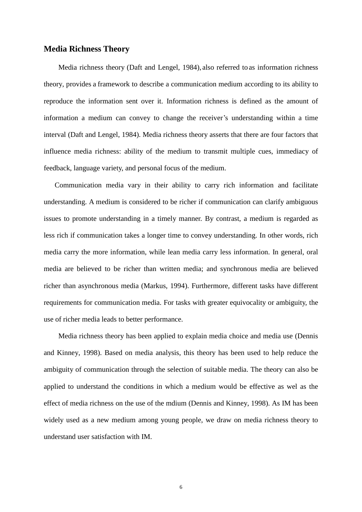### **Media Richness Theory**

Media richness theory (Daft and Lengel, 1984), also referred to as information richness theory, provides a framework to describe a communication medium according to its ability to reproduce the information sent over it. Information richness is defined as the amount of information a medium can convey to change the receiver's understanding within a time interval (Daft and Lengel, 1984). Media richness theory asserts that there are four factors that influence media richness: ability of the medium to transmit multiple cues, immediacy of feedback, language variety, and personal focus of the medium.

Communication media vary in their ability to carry rich information and facilitate understanding. A medium is considered to be richer if communication can clarify ambiguous issues to promote understanding in a timely manner. By contrast, a medium is regarded as less rich if communication takes a longer time to convey understanding. In other words, rich media carry the more information, while lean media carry less information. In general, oral media are believed to be richer than written media; and synchronous media are believed richer than asynchronous media (Markus, 1994). Furthermore, different tasks have different requirements for communication media. For tasks with greater equivocality or ambiguity, the use of richer media leads to better performance.

Media richness theory has been applied to explain media choice and media use (Dennis and Kinney, 1998). Based on media analysis, this theory has been used to help reduce the ambiguity of communication through the selection of suitable media. The theory can also be applied to understand the conditions in which a medium would be effective as wel as the effect of media richness on the use of the mdium (Dennis and Kinney, 1998). As IM has been widely used as a new medium among young people, we draw on media richness theory to understand user satisfaction with IM.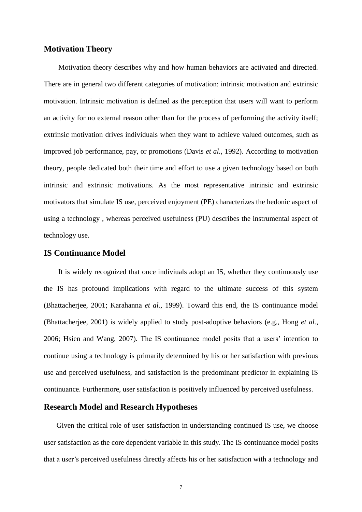### **Motivation Theory**

Motivation theory describes why and how human behaviors are activated and directed. There are in general two different categories of motivation: intrinsic motivation and extrinsic motivation. Intrinsic motivation is defined as the perception that users will want to perform an activity for no external reason other than for the process of performing the activity itself; extrinsic motivation drives individuals when they want to achieve valued outcomes, such as improved job performance, pay, or promotions (Davis *et al.*, 1992). According to motivation theory, people dedicated both their time and effort to use a given technology based on both intrinsic and extrinsic motivations. As the most representative intrinsic and extrinsic motivators that simulate IS use, perceived enjoyment (PE) characterizes the hedonic aspect of using a technology , whereas perceived usefulness (PU) describes the instrumental aspect of technology use.

### **IS Continuance Model**

It is widely recognized that once indiviuals adopt an IS, whether they continuously use the IS has profound implications with regard to the ultimate success of this system (Bhattacherjee, 2001; Karahanna *et al.*, 1999). Toward this end, the IS continuance model (Bhattacherjee, 2001) is widely applied to study post-adoptive behaviors (e.g., Hong *et al.*, 2006; Hsien and Wang, 2007). The IS continuance model posits that a users' intention to continue using a technology is primarily determined by his or her satisfaction with previous use and perceived usefulness, and satisfaction is the predominant predictor in explaining IS continuance. Furthermore, user satisfaction is positively influenced by perceived usefulness.

### **Research Model and Research Hypotheses**

Given the critical role of user satisfaction in understanding continued IS use, we choose user satisfaction as the core dependent variable in this study. The IS continuance model posits that a user's perceived usefulness directly affects his or her satisfaction with a technology and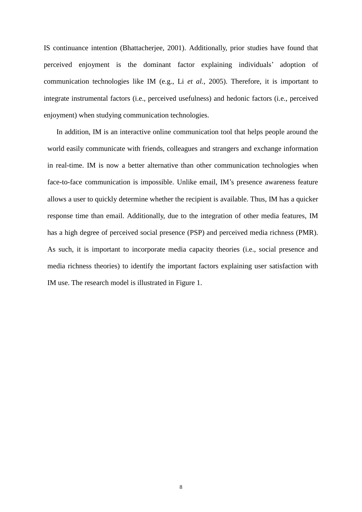IS continuance intention (Bhattacherjee, 2001). Additionally, prior studies have found that perceived enjoyment is the dominant factor explaining individuals' adoption of communication technologies like IM (e.g., Li *et al.*, 2005). Therefore, it is important to integrate instrumental factors (i.e., perceived usefulness) and hedonic factors (i.e., perceived enjoyment) when studying communication technologies.

In addition, IM is an interactive online communication tool that helps people around the world easily communicate with friends, colleagues and strangers and exchange information in real-time. IM is now a better alternative than other communication technologies when face-to-face communication is impossible. Unlike email, IM's presence awareness feature allows a user to quickly determine whether the recipient is available. Thus, IM has a quicker response time than email. Additionally, due to the integration of other media features, IM has a high degree of perceived social presence (PSP) and perceived media richness (PMR). As such, it is important to incorporate media capacity theories (i.e., social presence and media richness theories) to identify the important factors explaining user satisfaction with IM use. The research model is illustrated in Figure 1.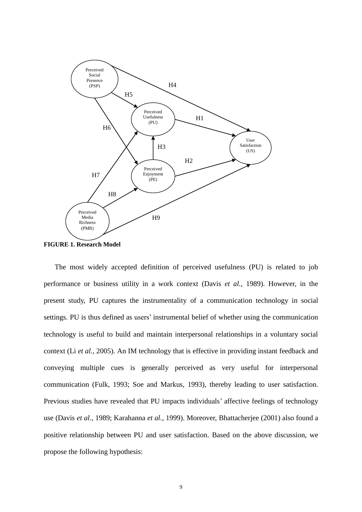

**FIGURE 1. Research Model**

The most widely accepted definition of perceived usefulness (PU) is related to job performance or business utility in a work context (Davis *et al.*, 1989). However, in the present study, PU captures the instrumentality of a communication technology in social settings. PU is thus defined as users' instrumental belief of whether using the communication technology is useful to build and maintain interpersonal relationships in a voluntary social context (Li *et al.*, 2005). An IM technology that is effective in providing instant feedback and conveying multiple cues is generally perceived as very useful for interpersonal communication (Fulk, 1993; Soe and Markus, 1993), thereby leading to user satisfaction. Previous studies have revealed that PU impacts individuals' affective feelings of technology use (Davis *et al.*, 1989; Karahanna *et al.*, 1999). Moreover, Bhattacherjee (2001) also found a positive relationship between PU and user satisfaction. Based on the above discussion, we propose the following hypothesis: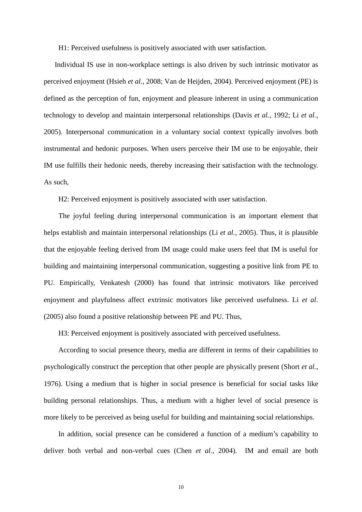H1: Perceived usefulness is positively associated with user satisfaction.

Individual IS use in non-workplace settings is also driven by such intrinsic motivator as perceived enjoyment (Hsieh *et al.*, 2008; Van de Heijden, 2004). Perceived enjoyment (PE) is defined as the perception of fun, enjoyment and pleasure inherent in using a communication technology to develop and maintain interpersonal relationships (Davis *et al.*, 1992; Li *et al.*, 2005). Interpersonal communication in a voluntary social context typically involves both instrumental and hedonic purposes. When users perceive their IM use to be enjoyable, their IM use fulfills their hedonic needs, thereby increasing their satisfaction with the technology. As such,

H2: Perceived enjoyment is positively associated with user satisfaction.

The joyful feeling during interpersonal communication is an important element that helps establish and maintain interpersonal relationships (Li *et al.*, 2005). Thus, it is plausible that the enjoyable feeling derived from IM usage could make users feel that IM is useful for building and maintaining interpersonal communication, suggesting a positive link from PE to PU. Empirically, Venkatesh (2000) has found that intrinsic motivators like perceived enjoyment and playfulness affect extrinsic motivators like perceived usefulness. Li *et al*. (2005) also found a positive relationship between PE and PU. Thus,

H3: Perceived enjoyment is positively associated with perceived usefulness.

According to social presence theory, media are different in terms of their capabilities to psychologically construct the perception that other people are physically present (Short *et al.*, 1976). Using a medium that is higher in social presence is beneficial for social tasks like building personal relationships. Thus, a medium with a higher level of social presence is more likely to be perceived as being useful for building and maintaining social relationships.

In addition, social presence can be considered a function of a medium's capability to deliver both verbal and non-verbal cues (Chen *et al.*, 2004). IM and email are both

10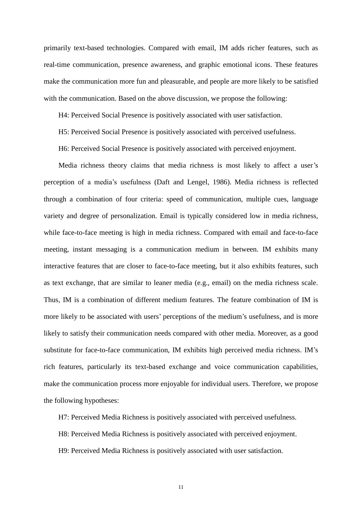primarily text-based technologies. Compared with email, IM adds richer features, such as real-time communication, presence awareness, and graphic emotional icons. These features make the communication more fun and pleasurable, and people are more likely to be satisfied with the communication. Based on the above discussion, we propose the following:

H4: Perceived Social Presence is positively associated with user satisfaction.

H5: Perceived Social Presence is positively associated with perceived usefulness.

H6: Perceived Social Presence is positively associated with perceived enjoyment.

Media richness theory claims that media richness is most likely to affect a user's perception of a media's usefulness (Daft and Lengel, 1986). Media richness is reflected through a combination of four criteria: speed of communication, multiple cues, language variety and degree of personalization. Email is typically considered low in media richness, while face-to-face meeting is high in media richness. Compared with email and face-to-face meeting, instant messaging is a communication medium in between. IM exhibits many interactive features that are closer to face-to-face meeting, but it also exhibits features, such as text exchange, that are similar to leaner media (e.g., email) on the media richness scale. Thus, IM is a combination of different medium features. The feature combination of IM is more likely to be associated with users' perceptions of the medium's usefulness, and is more likely to satisfy their communication needs compared with other media. Moreover, as a good substitute for face-to-face communication, IM exhibits high perceived media richness. IM's rich features, particularly its text-based exchange and voice communication capabilities, make the communication process more enjoyable for individual users. Therefore, we propose the following hypotheses:

H7: Perceived Media Richness is positively associated with perceived usefulness.

H8: Perceived Media Richness is positively associated with perceived enjoyment.

H9: Perceived Media Richness is positively associated with user satisfaction.

11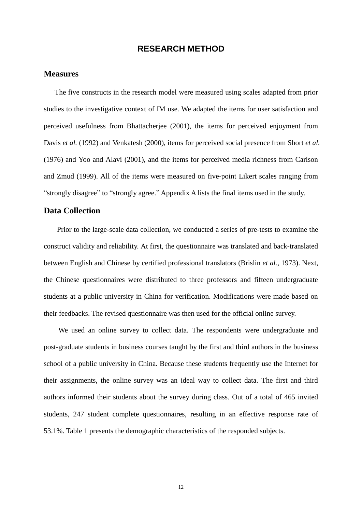### **RESEARCH METHOD**

### **Measures**

The five constructs in the research model were measured using scales adapted from prior studies to the investigative context of IM use. We adapted the items for user satisfaction and perceived usefulness from Bhattacherjee (2001), the items for perceived enjoyment from Davis *et al.* (1992) and Venkatesh (2000), items for perceived social presence from Short *et al.* (1976) and Yoo and Alavi (2001), and the items for perceived media richness from Carlson and Zmud (1999). All of the items were measured on five-point Likert scales ranging from "strongly disagree" to "strongly agree." Appendix A lists the final items used in the study.

# **Data Collection**

Prior to the large-scale data collection, we conducted a series of pre-tests to examine the construct validity and reliability. At first, the questionnaire was translated and back-translated between English and Chinese by certified professional translators (Brislin *et al.*, 1973). Next, the Chinese questionnaires were distributed to three professors and fifteen undergraduate students at a public university in China for verification. Modifications were made based on their feedbacks. The revised questionnaire was then used for the official online survey.

We used an online survey to collect data. The respondents were undergraduate and post-graduate students in business courses taught by the first and third authors in the business school of a public university in China. Because these students frequently use the Internet for their assignments, the online survey was an ideal way to collect data. The first and third authors informed their students about the survey during class. Out of a total of 465 invited students, 247 student complete questionnaires, resulting in an effective response rate of 53.1%. Table 1 presents the demographic characteristics of the responded subjects.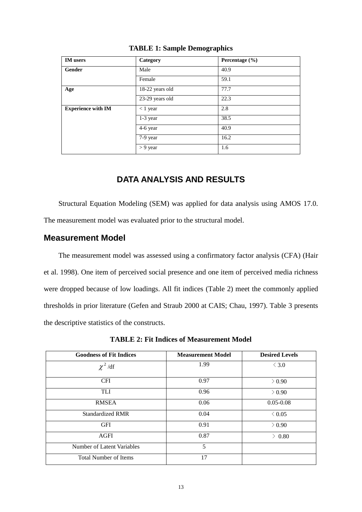| <b>IM</b> users           | Category        | Percentage (%) |
|---------------------------|-----------------|----------------|
| <b>Gender</b>             | Male            | 40.9           |
|                           | Female          | 59.1           |
| Age                       | 18-22 years old | 77.7           |
|                           | 23-29 years old | 22.3           |
| <b>Experience with IM</b> | $< 1$ year      | 2.8            |
|                           | 1-3 year        | 38.5           |
|                           | 4-6 year        | 40.9           |
|                           | 7-9 year        | 16.2           |
|                           | $> 9$ year      | 1.6            |

#### **TABLE 1: Sample Demographics**

# **DATA ANALYSIS AND RESULTS**

Structural Equation Modeling (SEM) was applied for data analysis using AMOS 17.0. The measurement model was evaluated prior to the structural model.

## **Measurement Model**

The measurement model was assessed using a confirmatory factor analysis (CFA) (Hair et al. 1998). One item of perceived social presence and one item of perceived media richness were dropped because of low loadings. All fit indices (Table 2) meet the commonly applied thresholds in prior literature (Gefen and Straub 2000 at CAIS; Chau, 1997). Table 3 presents the descriptive statistics of the constructs.

**TABLE 2: Fit Indices of Measurement Model**

| <b>Goodness of Fit Indices</b>    | <b>Measurement Model</b> | <b>Desired Levels</b> |
|-----------------------------------|--------------------------|-----------------------|
| $\chi^2$ /df                      | 1.99                     | $\leq 3.0$            |
| <b>CFI</b>                        | 0.97                     | $\geq 0.90$           |
| TLI                               | 0.96                     | $\geq 0.90$           |
| <b>RMSEA</b>                      | 0.06                     | $0.05 - 0.08$         |
| <b>Standardized RMR</b>           | 0.04                     | $\leq 0.05$           |
| <b>GFI</b>                        | 0.91                     | $\geq 0.90$           |
| <b>AGFI</b>                       | 0.87                     | $\geq 0.80$           |
| <b>Number of Latent Variables</b> | 5                        |                       |
| <b>Total Number of Items</b>      | 17                       |                       |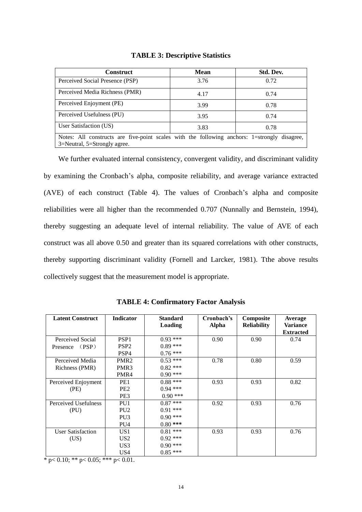| <b>Construct</b>                                                                                                             | <b>Mean</b> | Std. Dev. |  |  |
|------------------------------------------------------------------------------------------------------------------------------|-------------|-----------|--|--|
| Perceived Social Presence (PSP)                                                                                              | 3.76        | 0.72      |  |  |
| Perceived Media Richness (PMR)                                                                                               | 4.17        | 0.74      |  |  |
| Perceived Enjoyment (PE)                                                                                                     | 3.99        | 0.78      |  |  |
| Perceived Usefulness (PU)                                                                                                    | 3.95        | 0.74      |  |  |
| User Satisfaction (US)                                                                                                       | 3.83        | 0.78      |  |  |
| Notes: All constructs are five-point scales with the following anchors: 1=strongly disagree,<br>3=Neutral, 5=Strongly agree. |             |           |  |  |

### **TABLE 3: Descriptive Statistics**

 We further evaluated internal consistency, convergent validity, and discriminant validity by examining the Cronbach's alpha, composite reliability, and average variance extracted (AVE) of each construct (Table 4). The values of Cronbach's alpha and composite reliabilities were all higher than the recommended 0.707 (Nunnally and Bernstein, 1994), thereby suggesting an adequate level of internal reliability. The value of AVE of each construct was all above 0.50 and greater than its squared correlations with other constructs, thereby supporting discriminant validity (Fornell and Larcker, 1981). Tthe above results collectively suggest that the measurement model is appropriate.

| <b>Latent Construct</b>  | <b>Indicator</b> | <b>Standard</b><br>Loading | Cronbach's<br><b>Alpha</b> | Composite<br><b>Reliability</b> | <b>Average</b><br><b>Variance</b><br><b>Extracted</b> |
|--------------------------|------------------|----------------------------|----------------------------|---------------------------------|-------------------------------------------------------|
| Perceived Social         | PSP <sub>1</sub> | $0.93***$                  | 0.90                       | 0.90                            | 0.74                                                  |
| Presence (PSP)           | PSP <sub>2</sub> | $0.89***$                  |                            |                                 |                                                       |
|                          | PSP <sub>4</sub> | $0.76***$                  |                            |                                 |                                                       |
| Perceived Media          | PMR <sub>2</sub> | $0.53***$                  | 0.78                       | 0.80                            | 0.59                                                  |
| Richness (PMR)           | PMR <sub>3</sub> | $0.82$ ***                 |                            |                                 |                                                       |
|                          | PMR4             | $0.90$ ***                 |                            |                                 |                                                       |
| Perceived Enjoyment      | PE1              | $0.88***$                  | 0.93                       | 0.93                            | 0.82                                                  |
| (PE)                     | PE <sub>2</sub>  | $0.94$ ***                 |                            |                                 |                                                       |
|                          | PE3              | $0.90***$                  |                            |                                 |                                                       |
| Perceived Usefulness     | PU <sub>1</sub>  | $0.87***$                  | 0.92                       | 0.93                            | 0.76                                                  |
| (PU)                     | PU <sub>2</sub>  | $0.91***$                  |                            |                                 |                                                       |
|                          | PU <sub>3</sub>  | $0.90***$                  |                            |                                 |                                                       |
|                          | PU <sub>4</sub>  | $0.80$ ***                 |                            |                                 |                                                       |
| <b>User Satisfaction</b> | US <sub>1</sub>  | $0.81***$                  | 0.93                       | 0.93                            | 0.76                                                  |
| (US)                     | US <sub>2</sub>  | $0.92$ ***                 |                            |                                 |                                                       |
|                          | US <sub>3</sub>  | $0.90***$                  |                            |                                 |                                                       |
|                          | US4              | $0.85***$                  |                            |                                 |                                                       |

**TABLE 4: Confirmatory Factor Analysis**

 $*$  p < 0.10;  $**$  p < 0.05;  $***$  p < 0.01.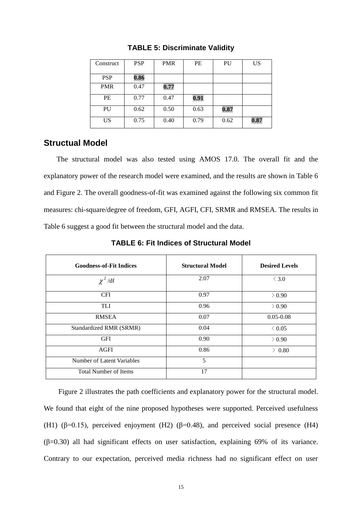| Construct  | <b>PSP</b> | <b>PMR</b> | PE   | PU   | US   |
|------------|------------|------------|------|------|------|
| <b>PSP</b> | 0.86       |            |      |      |      |
| <b>PMR</b> | 0.47       | 0.77       |      |      |      |
| PE         | 0.77       | 0.47       | 0.91 |      |      |
| PU         | 0.62       | 0.50       | 0.63 | 0.87 |      |
| US         | 0.75       | 0.40       | 0.79 | 0.62 | 0.87 |

**TABLE 5: Discriminate Validity**

# **Structual Model**

 The structural model was also tested using AMOS 17.0. The overall fit and the explanatory power of the research model were examined, and the results are shown in Table 6 and Figure 2. The overall goodness-of-fit was examined against the following six common fit measures: chi-square/degree of freedom, GFI, AGFI, CFI, SRMR and RMSEA. The results in Table 6 suggest a good fit between the structural model and the data.

| <b>Goodness-of-Fit Indices</b> | <b>Structural Model</b> | <b>Desired Levels</b> |
|--------------------------------|-------------------------|-----------------------|
| $\chi^2$ /df                   | 2.07                    | $\leq 3.0$            |
| <b>CFI</b>                     | 0.97                    | $\geq 0.90$           |
| <b>TLI</b>                     | 0.96                    | $\geq 0.90$           |
| <b>RMSEA</b>                   | 0.07                    | $0.05 - 0.08$         |
| Standardized RMR (SRMR)        | 0.04                    | $\leq 0.05$           |
| <b>GFI</b>                     | 0.90                    | $\geq 0.90$           |
| <b>AGFI</b>                    | 0.86                    | $\geq 0.80$           |
| Number of Latent Variables     | 5                       |                       |
| <b>Total Number of Items</b>   | 17                      |                       |

**TABLE 6: Fit Indices of Structural Model**

Figure 2 illustrates the path coefficients and explanatory power for the structural model. We found that eight of the nine proposed hypotheses were supported. Perceived usefulness (H1) ( $\beta$ =0.15), perceived enjoyment (H2) ( $\beta$ =0.48), and perceived social presence (H4) (β=0.30) all had significant effects on user satisfaction, explaining 69% of its variance. Contrary to our expectation, perceived media richness had no significant effect on user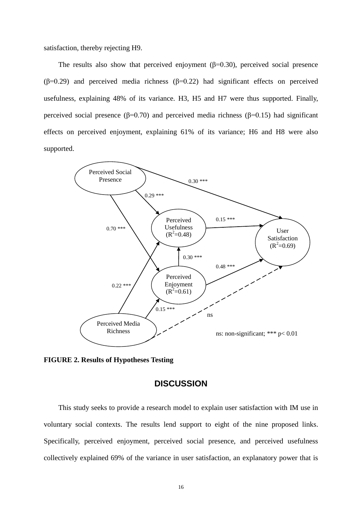satisfaction, thereby rejecting H9.

The results also show that perceived enjoyment  $(\beta=0.30)$ , perceived social presence ( $β=0.29$ ) and perceived media richness ( $β=0.22$ ) had significant effects on perceived usefulness, explaining 48% of its variance. H3, H5 and H7 were thus supported. Finally, perceived social presence (β=0.70) and perceived media richness (β=0.15) had significant effects on perceived enjoyment, explaining 61% of its variance; H6 and H8 were also supported.



**FIGURE 2. Results of Hypotheses Testing**

### **DISCUSSION**

This study seeks to provide a research model to explain user satisfaction with IM use in voluntary social contexts. The results lend support to eight of the nine proposed links. Specifically, perceived enjoyment, perceived social presence, and perceived usefulness collectively explained 69% of the variance in user satisfaction, an explanatory power that is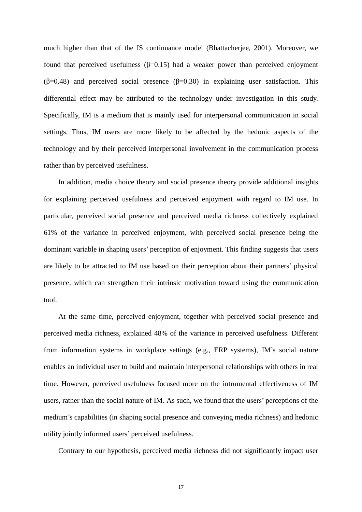much higher than that of the IS continuance model (Bhattacherjee, 2001). Moreover, we found that perceived usefulness  $(\beta=0.15)$  had a weaker power than perceived enjoyment (β=0.48) and perceived social presence (β=0.30) in explaining user satisfaction. This differential effect may be attributed to the technology under investigation in this study. Specifically, IM is a medium that is mainly used for interpersonal communication in social settings. Thus, IM users are more likely to be affected by the hedonic aspects of the technology and by their perceived interpersonal involvement in the communication process rather than by perceived usefulness.

In addition, media choice theory and social presence theory provide additional insights for explaining perceived usefulness and perceived enjoyment with regard to IM use. In particular, perceived social presence and perceived media richness collectively explained 61% of the variance in perceived enjoyment, with perceived social presence being the dominant variable in shaping users' perception of enjoyment. This finding suggests that users are likely to be attracted to IM use based on their perception about their partners' physical presence, which can strengthen their intrinsic motivation toward using the communication tool.

At the same time, perceived enjoyment, together with perceived social presence and perceived media richness, explained 48% of the variance in perceived usefulness. Different from information systems in workplace settings (e.g., ERP systems), IM's social nature enables an individual user to build and maintain interpersonal relationships with others in real time. However, perceived usefulness focused more on the intrumental effectiveness of IM users, rather than the social nature of IM. As such, we found that the users' perceptions of the medium's capabilities (in shaping social presence and conveying media richness) and hedonic utility jointly informed users' perceived usefulness.

Contrary to our hypothesis, perceived media richness did not significantly impact user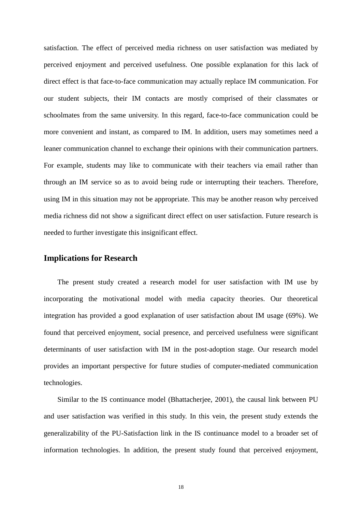satisfaction. The effect of perceived media richness on user satisfaction was mediated by perceived enjoyment and perceived usefulness. One possible explanation for this lack of direct effect is that face-to-face communication may actually replace IM communication. For our student subjects, their IM contacts are mostly comprised of their classmates or schoolmates from the same university. In this regard, face-to-face communication could be more convenient and instant, as compared to IM. In addition, users may sometimes need a leaner communication channel to exchange their opinions with their communication partners. For example, students may like to communicate with their teachers via email rather than through an IM service so as to avoid being rude or interrupting their teachers. Therefore, using IM in this situation may not be appropriate. This may be another reason why perceived media richness did not show a significant direct effect on user satisfaction. Future research is needed to further investigate this insignificant effect.

### **Implications for Research**

The present study created a research model for user satisfaction with IM use by incorporating the motivational model with media capacity theories. Our theoretical integration has provided a good explanation of user satisfaction about IM usage (69%). We found that perceived enjoyment, social presence, and perceived usefulness were significant determinants of user satisfaction with IM in the post-adoption stage. Our research model provides an important perspective for future studies of computer-mediated communication technologies.

Similar to the IS continuance model (Bhattacherjee, 2001), the causal link between PU and user satisfaction was verified in this study. In this vein, the present study extends the generalizability of the PU-Satisfaction link in the IS continuance model to a broader set of information technologies. In addition, the present study found that perceived enjoyment,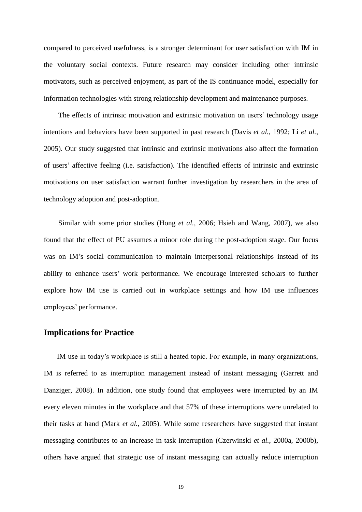compared to perceived usefulness, is a stronger determinant for user satisfaction with IM in the voluntary social contexts. Future research may consider including other intrinsic motivators, such as perceived enjoyment, as part of the IS continuance model, especially for information technologies with strong relationship development and maintenance purposes.

The effects of intrinsic motivation and extrinsic motivation on users' technology usage intentions and behaviors have been supported in past research (Davis *et al.*, 1992; Li *et al.*, 2005). Our study suggested that intrinsic and extrinsic motivations also affect the formation of users' affective feeling (i.e. satisfaction). The identified effects of intrinsic and extrinsic motivations on user satisfaction warrant further investigation by researchers in the area of technology adoption and post-adoption.

Similar with some prior studies (Hong *et al.*, 2006; Hsieh and Wang, 2007), we also found that the effect of PU assumes a minor role during the post-adoption stage. Our focus was on IM's social communication to maintain interpersonal relationships instead of its ability to enhance users' work performance. We encourage interested scholars to further explore how IM use is carried out in workplace settings and how IM use influences employees' performance.

### **Implications for Practice**

IM use in today's workplace is still a heated topic. For example, in many organizations, IM is referred to as interruption management instead of instant messaging (Garrett and Danziger, 2008). In addition, one study found that employees were interrupted by an IM every eleven minutes in the workplace and that 57% of these interruptions were unrelated to their tasks at hand (Mark *et al.*, 2005). While some researchers have suggested that instant messaging contributes to an increase in task interruption (Czerwinski *et al.*, 2000a, 2000b), others have argued that strategic use of instant messaging can actually reduce interruption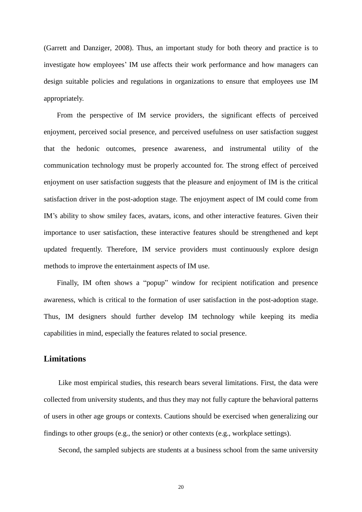(Garrett and Danziger, 2008). Thus, an important study for both theory and practice is to investigate how employees' IM use affects their work performance and how managers can design suitable policies and regulations in organizations to ensure that employees use IM appropriately.

From the perspective of IM service providers, the significant effects of perceived enjoyment, perceived social presence, and perceived usefulness on user satisfaction suggest that the hedonic outcomes, presence awareness, and instrumental utility of the communication technology must be properly accounted for. The strong effect of perceived enjoyment on user satisfaction suggests that the pleasure and enjoyment of IM is the critical satisfaction driver in the post-adoption stage. The enjoyment aspect of IM could come from IM's ability to show smiley faces, avatars, icons, and other interactive features. Given their importance to user satisfaction, these interactive features should be strengthened and kept updated frequently. Therefore, IM service providers must continuously explore design methods to improve the entertainment aspects of IM use.

Finally, IM often shows a "popup" window for recipient notification and presence awareness, which is critical to the formation of user satisfaction in the post-adoption stage. Thus, IM designers should further develop IM technology while keeping its media capabilities in mind, especially the features related to social presence.

## **Limitations**

Like most empirical studies, this research bears several limitations. First, the data were collected from university students, and thus they may not fully capture the behavioral patterns of users in other age groups or contexts. Cautions should be exercised when generalizing our findings to other groups (e.g., the senior) or other contexts (e.g., workplace settings).

Second, the sampled subjects are students at a business school from the same university

20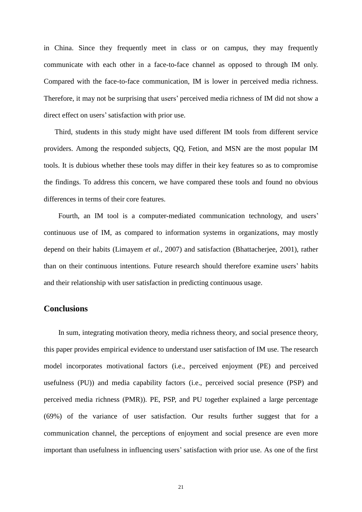in China. Since they frequently meet in class or on campus, they may frequently communicate with each other in a face-to-face channel as opposed to through IM only. Compared with the face-to-face communication, IM is lower in perceived media richness. Therefore, it may not be surprising that users' perceived media richness of IM did not show a direct effect on users'satisfaction with prior use.

Third, students in this study might have used different IM tools from different service providers. Among the responded subjects, QQ, Fetion, and MSN are the most popular IM tools. It is dubious whether these tools may differ in their key features so as to compromise the findings. To address this concern, we have compared these tools and found no obvious differences in terms of their core features.

Fourth, an IM tool is a computer-mediated communication technology, and users' continuous use of IM, as compared to information systems in organizations, may mostly depend on their habits (Limayem *et al.*, 2007) and satisfaction (Bhattacherjee, 2001), rather than on their continuous intentions. Future research should therefore examine users' habits and their relationship with user satisfaction in predicting continuous usage.

### **Conclusions**

In sum, integrating motivation theory, media richness theory, and social presence theory, this paper provides empirical evidence to understand user satisfaction of IM use. The research model incorporates motivational factors (i.e., perceived enjoyment (PE) and perceived usefulness (PU)) and media capability factors (i.e., perceived social presence (PSP) and perceived media richness (PMR)). PE, PSP, and PU together explained a large percentage (69%) of the variance of user satisfaction. Our results further suggest that for a communication channel, the perceptions of enjoyment and social presence are even more important than usefulness in influencing users' satisfaction with prior use. As one of the first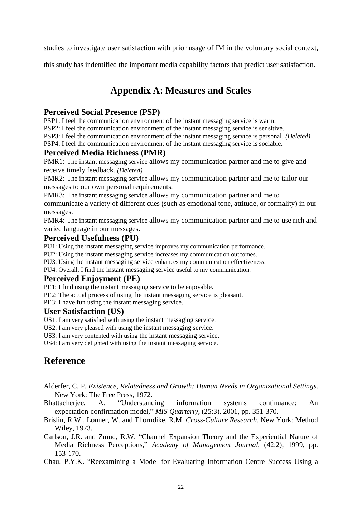studies to investigate user satisfaction with prior usage of IM in the voluntary social context,

this study has indentified the important media capability factors that predict user satisfaction.

# **Appendix A: Measures and Scales**

# **Perceived Social Presence (PSP)**

PSP1: I feel the communication environment of the instant messaging service is warm.

PSP2: I feel the communication environment of the instant messaging service is sensitive.

PSP3: I feel the communication environment of the instant messaging service is personal. *(Deleted)*

PSP4: I feel the communication environment of the instant messaging service is sociable.

# **Perceived Media Richness (PMR)**

PMR1: The instant messaging service allows my communication partner and me to give and receive timely feedback. *(Deleted)*

PMR2: The instant messaging service allows my communication partner and me to tailor our messages to our own personal requirements.

PMR3: The instant messaging service allows my communication partner and me to communicate a variety of different cues (such as emotional tone, attitude, or formality) in our messages.

PMR4: The instant messaging service allows my communication partner and me to use rich and varied language in our messages.

# **Perceived Usefulness (PU)**

PU1: Using the instant messaging service improves my communication performance.

PU2: Using the instant messaging service increases my communication outcomes.

PU3: Using the instant messaging service enhances my communication effectiveness.

PU4: Overall, I find the instant messaging service useful to my communication.

# **Perceived Enjoyment (PE)**

PE1: I find using the instant messaging service to be enjoyable.

PE2: The actual process of using the instant messaging service is pleasant.

PE3: I have fun using the instant messaging service.

### **User Satisfaction (US)**

US1: I am very satisfied with using the instant messaging service.

US2: I am very pleased with using the instant messaging service.

US3: I am very contented with using the instant messaging service.

US4: I am very delighted with using the instant messaging service.

# **Reference**

Alderfer, C. P. *Existence, Relatedness and Growth: Human Needs in Organizational Settings*. New York: The Free Press, 1972.

Bhattacherjee, A. "Understanding information systems continuance: An expectation-confirmation model," *MIS Quarterly*, (25:3), 2001, pp. 351-370.

- Brislin, R.W., Lonner, W. and Thorndike, R.M. *Cross-Culture Research*. New York: Method Wiley, 1973.
- Carlson, J.R. and Zmud, R.W. "Channel Expansion Theory and the Experiential Nature of Media Richness Perceptions," *Academy of Management Journal,* (42:2), 1999, pp. 153-170.
- Chau, P.Y.K. "Reexamining a Model for Evaluating Information Centre Success Using a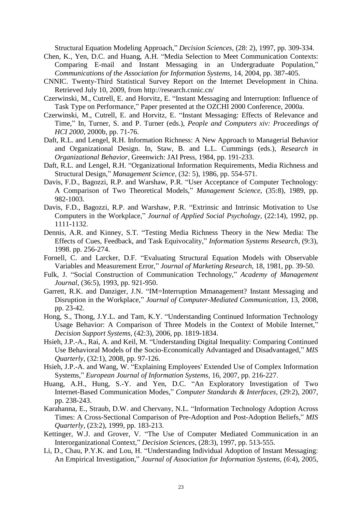Structural Equation Modeling Approach," *Decision Sciences,* (28: 2), 1997, pp. 309-334.

- Chen, K., Yen, D.C. and Huang, A.H. "Media Selection to Meet Communication Contexts: Comparing E-mail and Instant Messaging in an Undergraduate Population," *Communications of the Association for Information Systems,* 14, 2004, pp. 387-405.
- CNNIC. Twenty-Third Statistical Survey Report on the Internet Development in China. Retrieved July 10, 2009, from http://research.cnnic.cn/
- Czerwinski, M., Cutrell, E. and Horvitz, E. "Instant Messaging and Interruption: Influence of Task Type on Performance," Paper presented at the OZCHI 2000 Conference, 2000a.
- Czerwinski, M., Cutrell, E. and Horvitz, E. "Instant Messaging: Effects of Relevance and Time," In, Turner, S. and P. Turner (eds.), *People and Computers xiv: Proceedings of HCI 2000*, 2000b, pp. 71-76.
- Daft, R.L. and Lengel, R.H. Information Richness: A New Approach to Managerial Behavior and Organizational Design. In, Staw, B. and L.L. Cummings (eds.), *Research in Organizational Behavior,* Greenwich: JAI Press, 1984, pp. 191-233.
- Daft, R.L. and Lengel, R.H. "Organizational Information Requirements, Media Richness and Structural Design," *Management Science,* (32: 5), 1986, pp. 554-571.
- Davis, F.D., Bagozzi, R.P. and Warshaw, P.R. "User Acceptance of Computer Technology: A Comparison of Two Theoretical Models," *Management Science,* (35:8), 1989, pp. 982-1003.
- Davis, F.D., Bagozzi, R.P. and Warshaw, P.R. "Extrinsic and Intrinsic Motivation to Use Computers in the Workplace," *Journal of Applied Social Psychology,* (22:14), 1992, pp. 1111-1132.
- Dennis, A.R. and Kinney, S.T. "Testing Media Richness Theory in the New Media: The Effects of Cues, Feedback, and Task Equivocality," *Information Systems Research,* (9:3), 1998. pp. 256-274.
- Fornell, C. and Larcker, D.F. "Evaluating Structural Equation Models with Observable Variables and Measurement Error," *Journal of Marketing Research,* 18, 1981, pp. 39-50.
- Fulk, J. "Social Construction of Communication Technology," *Academy of Management Journal,* (36:5), 1993, pp. 921-950.
- Garrett, R.K. and Danziger, J.N. "IM=Interruption Mmanagement? Instant Messaging and Disruption in the Workplace," *Journal of Computer-Mediated Communication,* 13, 2008, pp. 23-42.
- Hong, S., Thong, J.Y.L. and Tam, K.Y. "Understanding Continued Information Technology Usage Behavior: A Comparison of Three Models in the Context of Mobile Internet," *Decision Support Systems,* (42:3), 2006, pp. 1819-1834.
- Hsieh, J.P.-A., Rai, A. and Keil, M. "Understanding Digital Inequality: Comparing Continued Use Behavioral Models of the Socio-Economically Advantaged and Disadvantaged," *MIS Quarterly,* (32:1), 2008, pp. 97-126.
- Hsieh, J.P.-A. and Wang, W. "Explaining Employees' Extended Use of Complex Information Systems," *European Journal of Information Systems,* 16, 2007, pp. 216-227.
- Huang, A.H., Hung, S.-Y. and Yen, D.C. "An Exploratory Investigation of Two Internet-Based Communication Modes," *Computer Standards & Interfaces,* (29:2), 2007, pp. 238-243.
- Karahanna, E., Straub, D.W. and Chervany, N.L. "Information Technology Adoption Across Times: A Cross-Sectional Comparison of Pre-Adoption and Post-Adoption Beliefs," *MIS Quarterly,* (23:2), 1999, pp. 183-213.
- Kettinger, W.J. and Grover, V. "The Use of Computer Mediated Communication in an Interorganizational Context," *Decision Sciences,* (28:3), 1997, pp. 513-555.
- Li, D., Chau, P.Y.K. and Lou, H. "Understanding Individual Adoption of Instant Messaging: An Empirical Investigation," *Journal of Association for Information Systems,* (*6*:4), 2005,